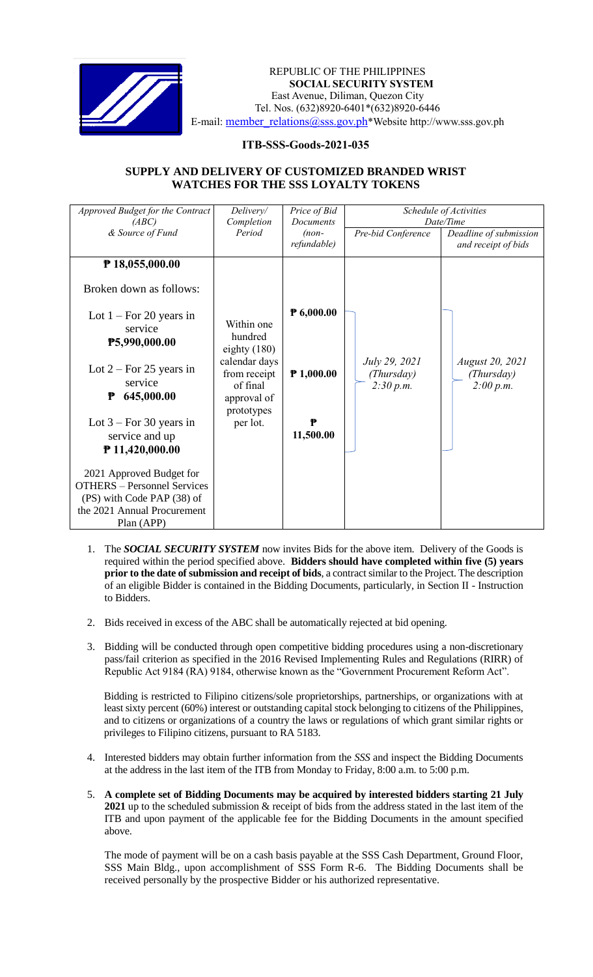

#### *Invitation to Bid* REPUBLIC OF THE PHILIPPINES **SOCIAL SECURITY SYSTEM** East Avenue, Diliman, Quezon City Tel. Nos. (632)8920-6401\*(632)8920-6446 E-mail: member\_relations@sss.gov.ph\*Website http://www.sss.gov.ph

# **ITB-SSS-Goods-2021-035**

# **SUPPLY AND DELIVERY OF CUSTOMIZED BRANDED WRIST WATCHES FOR THE SSS LOYALTY TOKENS**

| Approved Budget for the Contract<br>(ABC)<br>& Source of Fund                                                                                                                                                                                                                                                                                                                 | Delivery/<br>Completion<br>Period                                                                                             | Price of Bid<br><b>Documents</b><br>$(non-$<br>refundable) | Pre-bid Conference                       | Schedule of Activities<br>Date/Time<br>Deadline of submission<br>and receipt of bids |
|-------------------------------------------------------------------------------------------------------------------------------------------------------------------------------------------------------------------------------------------------------------------------------------------------------------------------------------------------------------------------------|-------------------------------------------------------------------------------------------------------------------------------|------------------------------------------------------------|------------------------------------------|--------------------------------------------------------------------------------------|
| ₱ 18,055,000.00<br>Broken down as follows:<br>Lot $1 - For 20 years$ in<br>service<br>P5,990,000.00<br>Lot $2 - For 25$ years in<br>service<br>645,000.00<br>₱<br>Lot $3 - For 30 years$ in<br>service and up<br>₱ 11,420,000.00<br>2021 Approved Budget for<br><b>OTHERS</b> - Personnel Services<br>(PS) with Code PAP (38) of<br>the 2021 Annual Procurement<br>Plan (APP) | Within one<br>hundred<br>eighty $(180)$<br>calendar days<br>from receipt<br>of final<br>approval of<br>prototypes<br>per lot. | P 6,000.00<br>$P$ 1,000.00<br>₱<br>11,500.00               | July 29, 2021<br>(Thursday)<br>2:30 p.m. | <b>August 20, 2021</b><br>(Thursday)<br>2:00 p.m.                                    |

- 1. The *SOCIAL SECURITY SYSTEM* now invites Bids for the above item. Delivery of the Goods is required within the period specified above. **Bidders should have completed within five (5) years prior to the date of submission and receipt of bids**, a contract similar to the Project. The description of an eligible Bidder is contained in the Bidding Documents, particularly, in Section II - Instruction to Bidders.
- 2. Bids received in excess of the ABC shall be automatically rejected at bid opening.
- 3. Bidding will be conducted through open competitive bidding procedures using a non-discretionary pass/fail criterion as specified in the 2016 Revised Implementing Rules and Regulations (RIRR) of Republic Act 9184 (RA) 9184, otherwise known as the "Government Procurement Reform Act".

Bidding is restricted to Filipino citizens/sole proprietorships, partnerships, or organizations with at least sixty percent (60%) interest or outstanding capital stock belonging to citizens of the Philippines, and to citizens or organizations of a country the laws or regulations of which grant similar rights or privileges to Filipino citizens, pursuant to RA 5183.

- 4. Interested bidders may obtain further information from the *SSS* and inspect the Bidding Documents at the address in the last item of the ITB from Monday to Friday, 8:00 a.m. to 5:00 p.m.
- 5. **A complete set of Bidding Documents may be acquired by interested bidders starting 21 July 2021** up to the scheduled submission & receipt of bids from the address stated in the last item of the ITB and upon payment of the applicable fee for the Bidding Documents in the amount specified above.

The mode of payment will be on a cash basis payable at the SSS Cash Department, Ground Floor, SSS Main Bldg., upon accomplishment of SSS Form R-6. The Bidding Documents shall be received personally by the prospective Bidder or his authorized representative.